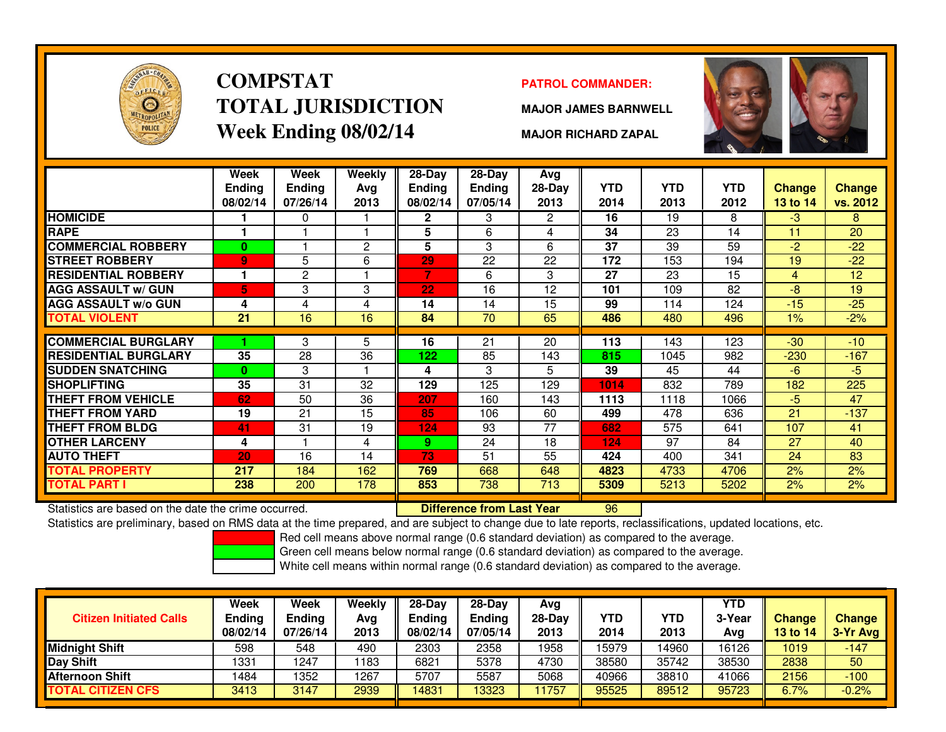

# **COMPSTATTOTAL JURISDICTIONWeek Ending 08/02/14**

### **PATROL COMMANDER:**

**MAJOR JAMES BARNWELL**



**MAJOR RICHARD ZAPAL**

|                             | Week<br><b>Ending</b><br>08/02/14 | Week<br><b>Ending</b><br>07/26/14 | Weekly<br>Ava<br>2013 | $28-Day$<br><b>Ending</b><br>08/02/14 | $28 - Day$<br><b>Ending</b><br>07/05/14 | Avg<br>28-Day<br>2013 | <b>YTD</b><br>2014 | <b>YTD</b><br>2013 | <b>YTD</b><br>2012 | <b>Change</b><br><b>13 to 14</b> | <b>Change</b><br>vs. 2012 |
|-----------------------------|-----------------------------------|-----------------------------------|-----------------------|---------------------------------------|-----------------------------------------|-----------------------|--------------------|--------------------|--------------------|----------------------------------|---------------------------|
| <b>HOMICIDE</b>             |                                   | 0                                 |                       | $\mathbf{2}$                          | 3                                       | 2                     | 16                 | 19                 | 8                  | $-3$                             | 8                         |
| <b>RAPE</b>                 |                                   |                                   |                       | 5                                     | 6                                       | 4                     | 34                 | 23                 | 14                 | 11                               | 20                        |
| <b>COMMERCIAL ROBBERY</b>   | 0                                 |                                   | $\overline{c}$        | 5                                     | 3                                       | 6                     | 37                 | 39                 | 59                 | $-2$                             | $-22$                     |
| <b>STREET ROBBERY</b>       | $\overline{9}$                    | 5                                 | 6                     | 29                                    | 22                                      | 22                    | 172                | 153                | 194                | 19                               | $-22$                     |
| <b>RESIDENTIAL ROBBERY</b>  |                                   | 2                                 |                       | 7.                                    | 6                                       | 3                     | 27                 | 23                 | 15                 | 4                                | 12                        |
| <b>AGG ASSAULT w/ GUN</b>   | 5                                 | 3                                 | 3                     | 22                                    | 16                                      | 12                    | 101                | 109                | 82                 | $-8$                             | 19                        |
| <b>AGG ASSAULT w/o GUN</b>  | 4                                 | 4                                 | 4                     | 14                                    | 14                                      | 15                    | 99                 | 114                | 124                | $-15$                            | $-25$                     |
| <b>TOTAL VIOLENT</b>        | 21                                | 16                                | 16                    | 84                                    | 70                                      | 65                    | 486                | 480                | 496                | $1\%$                            | $-2%$                     |
|                             |                                   |                                   |                       |                                       |                                         |                       |                    |                    |                    |                                  |                           |
| <b>COMMERCIAL BURGLARY</b>  |                                   | 3                                 | 5                     | 16                                    | 21                                      | 20                    | 113                | 143                | 123                | $-30$                            | $-10$                     |
| <b>RESIDENTIAL BURGLARY</b> | 35                                | 28                                | 36                    | 122                                   | 85                                      | 143                   | 815                | 1045               | 982                | $-230$                           | $-167$                    |
| <b>SUDDEN SNATCHING</b>     | $\bf{0}$                          | 3                                 |                       | 4                                     | 3                                       | 5                     | 39                 | 45                 | 44                 | $-6$                             | $-5$                      |
| <b>SHOPLIFTING</b>          | 35                                | 31                                | 32                    | 129                                   | 125                                     | 129                   | 1014               | 832                | 789                | 182                              | 225                       |
| <b>THEFT FROM VEHICLE</b>   | 62                                | 50                                | 36                    | 207                                   | 160                                     | 143                   | 1113               | 1118               | 1066               | $-5$                             | 47                        |
| THEFT FROM YARD             | 19                                | 21                                | 15                    | 85                                    | 106                                     | 60                    | 499                | 478                | 636                | 21                               | $-137$                    |
| <b>THEFT FROM BLDG</b>      | 41                                | 31                                | 19                    | 124                                   | 93                                      | 77                    | 682                | 575                | 641                | 107                              | 41                        |
| <b>OTHER LARCENY</b>        | 4                                 |                                   | 4                     | 9                                     | 24                                      | 18                    | 124                | 97                 | 84                 | 27                               | 40                        |
| <b>AUTO THEFT</b>           | 20                                | 16                                | 14                    | 73                                    | 51                                      | 55                    | 424                | 400                | 341                | 24                               | 83                        |
| <b>TOTAL PROPERTY</b>       | 217                               | 184                               | 162                   | 769                                   | 668                                     | 648                   | 4823               | 4733               | 4706               | 2%                               | 2%                        |
| <b>TOTAL PART I</b>         | 238                               | 200                               | 178                   | 853                                   | 738                                     | 713                   | 5309               | 5213               | 5202               | 2%                               | 2%                        |

Statistics are based on the date the crime occurred. **Difference from Last Year** 

Statistics are based on the date the crime occurred. **[1986] [1986] [1986] Statistics** are based on the date time<br>Statistics are preliminary, based on RMS data at the time prepared, and are subject to change due to late re

Red cell means above normal range (0.6 standard deviation) as compared to the average.

Green cell means below normal range (0.6 standard deviation) as compared to the average.

| <b>Citizen Initiated Calls</b>     | Week<br><b>Ending</b><br>08/02/14 | Week<br><b>Ending</b><br>07/26/14 | Weekly<br>Avg<br>2013 | $28-Dav$<br>Endina<br>08/02/14 | $28-Dav$<br><b>Ending</b><br>07/05/14 | Avg<br>$28-Day$<br>2013 | YTD<br>2014 | YTD<br>2013 | <b>YTD</b><br>3-Year<br>Avg | <b>Change</b><br><b>13 to 14</b> | <b>Change</b><br>3-Yr Avg |
|------------------------------------|-----------------------------------|-----------------------------------|-----------------------|--------------------------------|---------------------------------------|-------------------------|-------------|-------------|-----------------------------|----------------------------------|---------------------------|
| <b>Midnight Shift</b>              | 598                               | 548                               | 490                   | 2303                           | 2358                                  | 1958                    | 15979       | 4960        | 16126                       | 1019                             | $-147$                    |
| Day Shift                          | 1331                              | 1247                              | 183                   | 6821                           | 5378                                  | 4730                    | 38580       | 35742       | 38530                       | 2838                             | 50                        |
| <b>Afternoon Shift</b>             | 1484                              | 352                               | 1267                  | 5707                           | 5587                                  | 5068                    | 40966       | 38810       | 41066                       | 2156                             | $-100$                    |
| <b>CITIZEN CFS</b><br><b>TOTAL</b> | 3413                              | 3147                              | 2939                  | 14831                          | 3323                                  | 1757                    | 95525       | 89512       | 95723                       | 6.7%                             | $-0.2%$                   |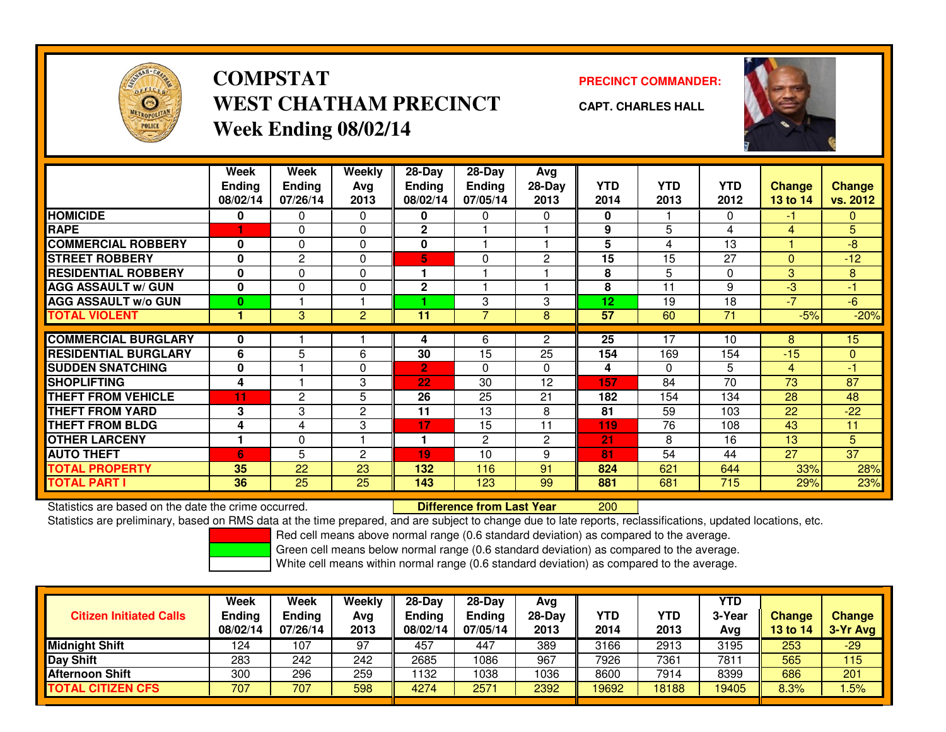

# **COMPSTATWEST CHATHAM PRECINCTWeek Ending 08/02/14**

**PRECINCT COMMANDER:**



**CAPT. CHARLES HALL**

|                             | Week          | Week           | Weekly         | $28 - Day$     | $28 - Day$     | Avg            |                 |            |            |              |                 |
|-----------------------------|---------------|----------------|----------------|----------------|----------------|----------------|-----------------|------------|------------|--------------|-----------------|
|                             | <b>Ending</b> | <b>Ending</b>  | Avg            | <b>Ending</b>  | <b>Ending</b>  | $28-Day$       | <b>YTD</b>      | <b>YTD</b> | <b>YTD</b> | Change       | <b>Change</b>   |
|                             | 08/02/14      | 07/26/14       | 2013           | 08/02/14       | 07/05/14       | 2013           | 2014            | 2013       | 2012       | 13 to 14     | vs. 2012        |
|                             |               |                |                |                |                |                |                 |            |            |              |                 |
| <b>HOMICIDE</b>             | 0             | $\Omega$       | 0              | 0              | 0              | 0              | 0               |            | 0          | -1           | $\mathbf{0}$    |
| <b>RAPE</b>                 |               | $\Omega$       | $\Omega$       | $\overline{2}$ |                |                | 9               | 5          | 4          | 4            | 5               |
| <b>COMMERCIAL ROBBERY</b>   | 0             | $\mathbf{0}$   | 0              | 0              |                |                | 5               | 4          | 13         |              | $-8$            |
| <b>STREET ROBBERY</b>       | 0             | $\overline{2}$ | $\Omega$       | 5              | 0              | $\overline{c}$ | 15              | 15         | 27         | $\mathbf{0}$ | $-12$           |
| <b>RESIDENTIAL ROBBERY</b>  | 0             | $\Omega$       | 0              |                |                |                | 8               | 5          | 0          | 3            | 8               |
| <b>AGG ASSAULT w/ GUN</b>   | 0             | $\mathbf{0}$   | $\Omega$       | $\mathbf{2}$   |                |                | 8               | 11         | 9          | $-3$         | -1              |
| <b>AGG ASSAULT w/o GUN</b>  | 0             |                |                |                | 3              | 3              | 12 <sub>2</sub> | 19         | 18         | $-7$         | $-6$            |
| <b>TOTAL VIOLENT</b>        |               | 3              | $\overline{2}$ | 11             | 7              | 8              | 57              | 60         | 71         | $-5%$        | $-20%$          |
|                             |               |                |                |                |                |                |                 |            |            |              |                 |
| <b>COMMERCIAL BURGLARY</b>  | 0             |                |                | 4              | 6              | 2              | 25              | 17         | 10         | 8            | 15 <sub>1</sub> |
| <b>RESIDENTIAL BURGLARY</b> | 6             | 5              | 6              | 30             | 15             | 25             | 154             | 169        | 154        | $-15$        | $\Omega$        |
| <b>SUDDEN SNATCHING</b>     | 0             |                | $\Omega$       | $\overline{2}$ | 0              | $\Omega$       | 4               | $\Omega$   | 5          | 4            | -1              |
| <b>SHOPLIFTING</b>          | 4             |                | 3              | 22             | 30             | 12             | 157             | 84         | 70         | 73           | 87              |
| THEFT FROM VEHICLE          | 11            | $\overline{2}$ | 5              | 26             | 25             | 21             | 182             | 154        | 134        | 28           | 48              |
| <b>THEFT FROM YARD</b>      | 3             | 3              | $\overline{c}$ | 11             | 13             | 8              | 81              | 59         | 103        | 22           | $-22$           |
| <b>THEFT FROM BLDG</b>      | 4             | 4              | 3              | 17             | 15             | 11             | 119             | 76         | 108        | 43           | 11              |
| <b>OTHER LARCENY</b>        | 1             | $\Omega$       |                | 1              | $\overline{2}$ | 2              | 21              | 8          | 16         | 13           | 5               |
| <b>AUTO THEFT</b>           | 6             | 5              | $\overline{2}$ | 19             | 10             | 9              | 81              | 54         | 44         | 27           | $\overline{37}$ |
| <b>TOTAL PROPERTY</b>       | 35            | 22             | 23             | 132            | 116            | 91             | 824             | 621        | 644        | 33%          | 28%             |
| <b>TOTAL PART I</b>         | 36            | 25             | 25             | 143            | 123            | 99             | 881             | 681        | 715        | 29%          | 23%             |

Statistics are based on the date the crime occurred. **Difference from Last Year** 

<sup>200</sup>

Statistics are preliminary, based on RMS data at the time prepared, and are subject to change due to late reports, reclassifications, updated locations, etc.

Red cell means above normal range (0.6 standard deviation) as compared to the average.

Green cell means below normal range (0.6 standard deviation) as compared to the average.

| <b>Citizen Initiated Calls</b> | Week<br>Ending<br>08/02/14 | Week<br>Ending<br>07/26/14 | Weekly<br>Avg<br>2013 | $28-Day$<br>Ending<br>08/02/14 | 28-Day<br><b>Ending</b><br>07/05/14 | Avg<br>$28-Dav$<br>2013 | YTD<br>2014 | YTD<br>2013 | YTD<br>3-Year<br>Avg | Change<br><b>13 to 14</b> | <b>Change</b><br>3-Yr Avg |
|--------------------------------|----------------------------|----------------------------|-----------------------|--------------------------------|-------------------------------------|-------------------------|-------------|-------------|----------------------|---------------------------|---------------------------|
| <b>Midnight Shift</b>          | 124                        | 107                        | 97                    | 457                            | 447                                 | 389                     | 3166        | 2913        | 3195                 | 253                       | $-29$                     |
| Day Shift                      | 283                        | 242                        | 242                   | 2685                           | 1086                                | 967                     | 7926        | 7361        | 7811                 | 565                       | 115                       |
| <b>Afternoon Shift</b>         | 300                        | 296                        | 259                   | 1132                           | 1038                                | 1036                    | 8600        | 7914        | 8399                 | 686                       | 201                       |
| <b>TOTAL CITIZEN CFS</b>       | 707                        | 707                        | 598                   | 4274                           | 2571                                | 2392                    | 19692       | 18188       | 19405                | 8.3%                      | .5%                       |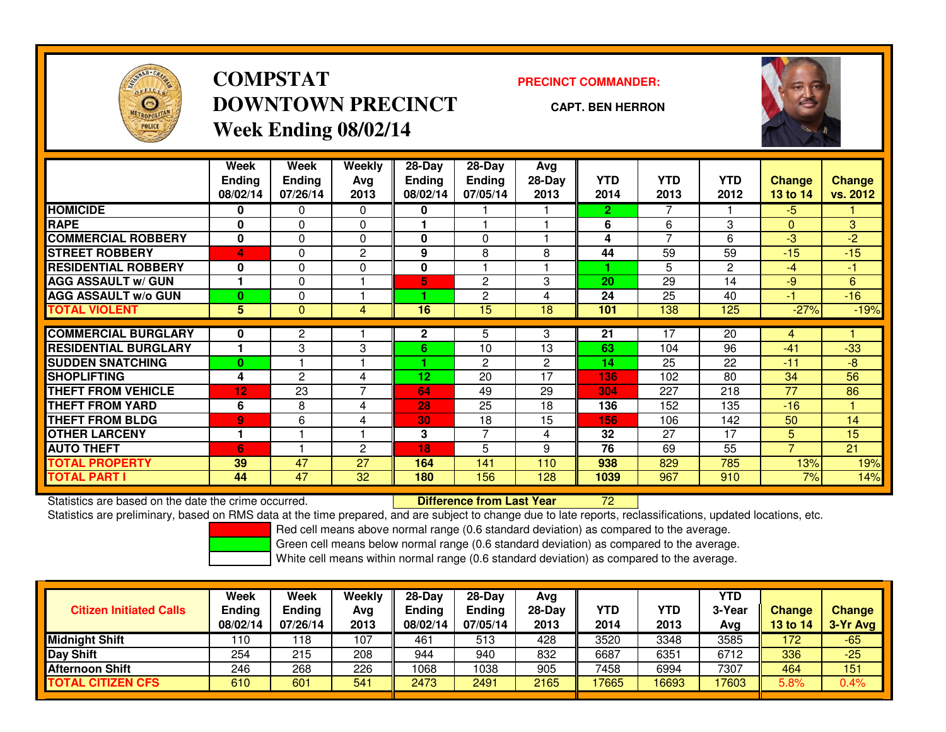

# **COMPSTATDOWNTOWN PRECINCTWeek Ending 08/02/14**

**PRECINCT COMMANDER:**

**CAPT. BEN HERRON**



|                             | Week          | Week           | Weekly         | $28-Day$      | $28$ -Day      | Avg            |              |            |                |                |               |
|-----------------------------|---------------|----------------|----------------|---------------|----------------|----------------|--------------|------------|----------------|----------------|---------------|
|                             | <b>Ending</b> | <b>Ending</b>  | Avg            | <b>Ending</b> | Ending         | $28-Day$       | <b>YTD</b>   | <b>YTD</b> | <b>YTD</b>     | <b>Change</b>  | <b>Change</b> |
|                             | 08/02/14      | 07/26/14       | 2013           | 08/02/14      | 07/05/14       | 2013           | 2014         | 2013       | 2012           | 13 to 14       | vs. 2012      |
| <b>HOMICIDE</b>             | 0             | 0              | 0              | 0             |                |                | $\mathbf{2}$ |            |                | $-5$           |               |
| <b>RAPE</b>                 | 0             | 0              | 0              |               |                |                | 6            | 6          | 3              | $\Omega$       | 3             |
| <b>COMMERCIAL ROBBERY</b>   | $\mathbf{0}$  | 0              | $\Omega$       | 0             | $\Omega$       |                | 4            | 7          | 6              | $-3$           | $-2$          |
| <b>STREET ROBBERY</b>       | 4             | 0              | $\overline{c}$ | 9             | 8              | 8              | 44           | 59         | 59             | $-15$          | $-15$         |
| <b>RESIDENTIAL ROBBERY</b>  | 0             | 0              | $\Omega$       | 0             |                |                |              | 5.         | $\overline{2}$ | $-4$           | $-1$          |
| <b>AGG ASSAULT w/ GUN</b>   |               | 0              |                | 5             | $\overline{2}$ | 3              | 20           | 29         | 14             | $-9$           | 6             |
| <b>AGG ASSAULT w/o GUN</b>  | $\bf{0}$      | 0              |                |               | 2              | 4              | 24           | 25         | 40             | $-1$           | $-16$         |
| <b>TOTAL VIOLENT</b>        | 5             | 0              | 4              | 16            | 15             | 18             | 101          | 138        | 125            | $-27%$         | $-19%$        |
|                             |               |                |                |               |                |                |              |            |                |                |               |
| <b>COMMERCIAL BURGLARY</b>  | 0             | 2              |                | 2             | 5              | 3              | 21           | 17         | 20             | 4              |               |
| <b>RESIDENTIAL BURGLARY</b> | 1             | 3              | 3              | 6             | 10             | 13             | 63           | 104        | 96             | $-41$          | $-33$         |
| <b>SUDDEN SNATCHING</b>     | $\bf{0}$      |                |                |               | $\overline{2}$ | $\overline{2}$ | 14           | 25         | 22             | $-11$          | $-8$          |
| <b>SHOPLIFTING</b>          | 4             | $\overline{2}$ | 4              | 12            | 20             | 17             | 136          | 102        | 80             | 34             | 56            |
| <b>THEFT FROM VEHICLE</b>   | 12            | 23             | 7              | 64            | 49             | 29             | 304          | 227        | 218            | 77             | 86            |
| <b>THEFT FROM YARD</b>      | 6             | 8              | 4              | 28            | 25             | 18             | 136          | 152        | 135            | $-16$          |               |
| <b>THEFT FROM BLDG</b>      | 9             | 6              | 4              | 30            | 18             | 15             | 156          | 106        | 142            | 50             | 14            |
| <b>OTHER LARCENY</b>        | 1             |                |                | 3             | 7              | 4              | 32           | 27         | 17             | 5              | 15            |
| <b>AUTO THEFT</b>           | 6             |                | $\overline{c}$ | 18            | 5              | 9              | 76           | 69         | 55             | $\overline{7}$ | 21            |
| <b>TOTAL PROPERTY</b>       | 39            | 47             | 27             | 164           | 141            | 110            | 938          | 829        | 785            | 13%            | 19%           |
| <b>TOTAL PART I</b>         | 44            | 47             | 32             | 180           | 156            | 128            | 1039         | 967        | 910            | 7%             | 14%           |

Statistics are based on the date the crime occurred. **Difference from Last Year** 

Statistics are based on the date the crime occurred. **Difference from Last Year 1988 on the set on** the date reports, reclassifications, updated locations, etc.<br>Statistics are preliminary, based on RMS data at the time pre

Red cell means above normal range (0.6 standard deviation) as compared to the average.

Green cell means below normal range (0.6 standard deviation) as compared to the average.

| <b>Citizen Initiated Calls</b> | Week<br><b>Ending</b><br>08/02/14 | Week<br><b>Ending</b><br>07/26/14 | Weekly<br>Avg<br>2013 | $28-Day$<br>Ending<br>08/02/14 | 28-Day<br><b>Ending</b><br>07/05/14 | Avg<br>$28-Dav$<br>2013 | <b>YTD</b><br>2014 | YTD<br>2013 | YTD<br>3-Year<br>Ava | <b>Change</b><br>13 to 14 | <b>Change</b><br>3-Yr Avg |
|--------------------------------|-----------------------------------|-----------------------------------|-----------------------|--------------------------------|-------------------------------------|-------------------------|--------------------|-------------|----------------------|---------------------------|---------------------------|
| Midnight Shift                 | 110                               | ∣18                               | 107                   | 461                            | 513                                 | 428                     | 3520               | 3348        | 3585                 | 172                       | $-65$                     |
| Day Shift                      | 254                               | 215                               | 208                   | 944                            | 940                                 | 832                     | 6687               | 6351        | 6712                 | 336                       | $-25$                     |
| <b>Afternoon Shift</b>         | 246                               | 268                               | 226                   | 1068                           | 1038                                | 905                     | 7458               | 6994        | 7307                 | 464                       | 151                       |
| <b>TOTAL CITIZEN CFS</b>       | 610                               | 601                               | 541                   | 2473                           | 2491                                | 2165                    | 7665               | 16693       | 17603                | 5.8%                      | 0.4%                      |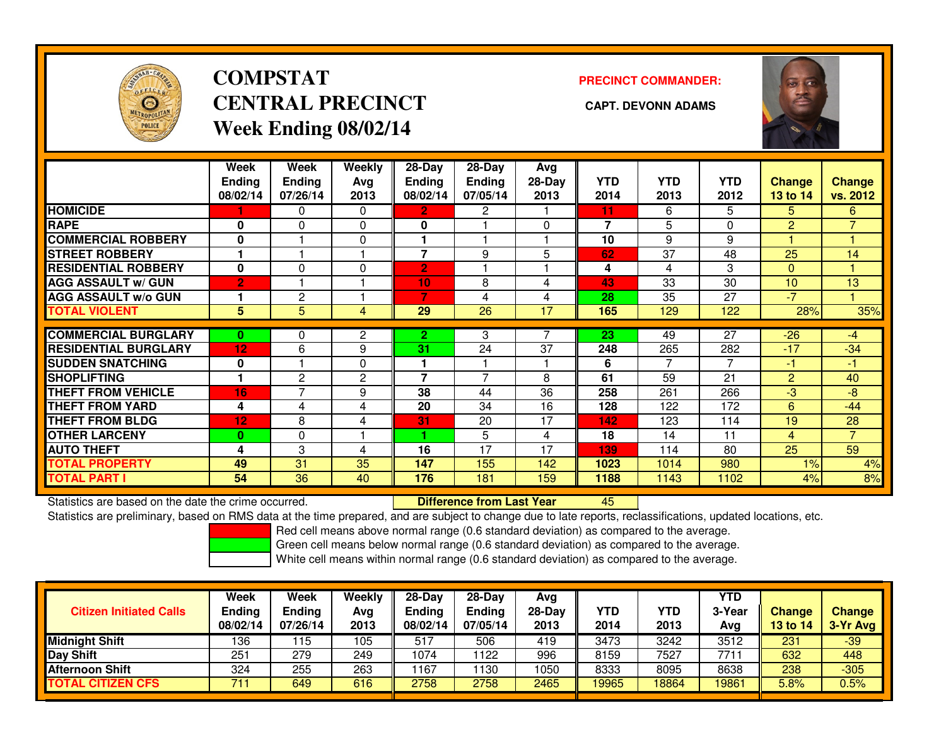

# **COMPSTATCENTRAL PRECINCT CAPT. DEVONN ADAMSWeek Ending 08/02/14**

**PRECINCT COMMANDER:**



|                             | Week<br><b>Ending</b><br>08/02/14 | Week<br><b>Ending</b><br>07/26/14 | <b>Weekly</b><br>Avg<br>2013 | $28-Day$<br><b>Ending</b><br>08/02/14 | 28-Day<br><b>Ending</b><br>07/05/14 | Avg<br>28-Day<br>2013 | <b>YTD</b><br>2014 | <b>YTD</b><br>2013 | <b>YTD</b><br>2012 | Change<br>13 to 14 | <b>Change</b><br>vs. 2012 |
|-----------------------------|-----------------------------------|-----------------------------------|------------------------------|---------------------------------------|-------------------------------------|-----------------------|--------------------|--------------------|--------------------|--------------------|---------------------------|
| <b>HOMICIDE</b>             |                                   | 0                                 | $\Omega$                     | $\mathbf{2}$                          | $\overline{2}$                      |                       | 11                 | 6                  | 5                  | 5.                 | 6                         |
| <b>RAPE</b>                 | 0                                 | 0                                 | 0                            | 0                                     |                                     | 0                     | 7                  | 5                  | 0                  | 2                  | 7                         |
| <b>COMMERCIAL ROBBERY</b>   | $\bf{0}$                          |                                   | 0                            |                                       |                                     |                       | 10                 | 9                  | 9                  |                    |                           |
| <b>STREET ROBBERY</b>       |                                   |                                   |                              | 7                                     | 9                                   | 5                     | 62                 | 37                 | 48                 | 25                 | 14                        |
| <b>RESIDENTIAL ROBBERY</b>  | 0                                 | 0                                 | 0                            | $\overline{2}$                        |                                     |                       | 4                  | 4                  | 3                  | $\mathbf{0}$       |                           |
| <b>AGG ASSAULT w/ GUN</b>   | $\overline{2}$                    |                                   |                              | 10                                    | 8                                   | 4                     | 43                 | 33                 | 30                 | 10                 | 13                        |
| <b>AGG ASSAULT w/o GUN</b>  |                                   | 2                                 |                              | 7                                     | 4                                   | 4                     | 28                 | 35                 | 27                 | $-7$               |                           |
| <b>TOTAL VIOLENT</b>        | 5                                 | 5                                 | 4                            | 29                                    | 26                                  | 17                    | 165                | 129                | 122                | 28%                | 35%                       |
|                             |                                   |                                   |                              |                                       |                                     |                       |                    |                    |                    |                    |                           |
| <b>COMMERCIAL BURGLARY</b>  | $\bf{0}$                          | 0                                 | 2                            | 2                                     | 3                                   |                       | 23                 | 49                 | 27                 | $-26$              | $-4$                      |
| <b>RESIDENTIAL BURGLARY</b> | 12                                | 6                                 | 9                            | 31                                    | 24                                  | 37                    | 248                | 265                | 282                | $-17$              | $-34$                     |
| <b>SUDDEN SNATCHING</b>     | 0                                 |                                   | $\Omega$                     |                                       |                                     |                       | 6                  | 7                  | 7                  | $-1$               | $-1$                      |
| <b>SHOPLIFTING</b>          |                                   | 2                                 | 2                            | $\overline{\phantom{a}}$              | $\overline{\phantom{0}}$            | 8                     | 61                 | 59                 | 21                 | 2                  | 40                        |
| <b>THEFT FROM VEHICLE</b>   | 16                                | 7                                 | 9                            | 38                                    | 44                                  | 36                    | 258                | 261                | 266                | -3                 | -8                        |
| <b>THEFT FROM YARD</b>      | 4                                 | 4                                 | 4                            | 20                                    | 34                                  | 16                    | 128                | 122                | 172                | 6                  | $-44$                     |
| <b>THEFT FROM BLDG</b>      | 12                                | 8                                 | 4                            | 31                                    | 20                                  | 17                    | 142                | 123                | 114                | 19                 | 28                        |
| <b>OTHER LARCENY</b>        | $\bf{0}$                          | 0                                 |                              |                                       | 5                                   | 4                     | 18                 | 14                 | 11                 | $\overline{4}$     | $\overline{7}$            |
| <b>AUTO THEFT</b>           | 4                                 | 3                                 | 4                            | 16                                    | 17                                  | 17                    | 139                | 114                | 80                 | 25                 | 59                        |
| <b>TOTAL PROPERTY</b>       | 49                                | 31                                | 35                           | 147                                   | 155                                 | 142                   | 1023               | 1014               | 980                | 1%                 | 4%                        |
| <b>TOTAL PART I</b>         | 54                                | 36                                | 40                           | 176                                   | 181                                 | 159                   | 1188               | 1143               | 1102               | 4%                 | 8%                        |

Statistics are based on the date the crime occurred. **Difference from Last Year** 

Statistics are based on the date the crime occurred. **Externee the Luid Confference from Last Year Mated Action**<br>Statistics are preliminary, based on RMS data at the time prepared, and are subject to change due to late rep

Red cell means above normal range (0.6 standard deviation) as compared to the average.

Green cell means below normal range (0.6 standard deviation) as compared to the average.

| <b>Citizen Initiated Calls</b> | <b>Week</b><br><b>Ending</b><br>08/02/14 | Week<br><b>Ending</b><br>07/26/14 | Weekly<br>Avg<br>2013 | $28-Day$<br><b>Ending</b><br>08/02/14 | 28-Dav<br><b>Ending</b><br>07/05/14 | Avg<br>$28-Dav$<br>2013 | YTD<br>2014 | YTD<br>2013 | <b>YTD</b><br>3-Year<br>Avg | <b>Change</b><br>13 to 14 | Change<br>3-Yr Avg |
|--------------------------------|------------------------------------------|-----------------------------------|-----------------------|---------------------------------------|-------------------------------------|-------------------------|-------------|-------------|-----------------------------|---------------------------|--------------------|
| <b>Midnight Shift</b>          | 136                                      | 15                                | 105                   | 517                                   | 506                                 | 419                     | 3473        | 3242        | 3512                        | 231                       | $-39/$             |
| Day Shift                      | 251                                      | 279                               | 249                   | 1074                                  | 122                                 | 996                     | 8159        | 7527        | 7711                        | 632                       | 448                |
| Afternoon Shift                | 324                                      | 255                               | 263                   | 167                                   | 130                                 | 1050                    | 8333        | 8095        | 8638                        | 238                       | $-305$             |
| <b>TOTAL CITIZEN CFS</b>       | 711                                      | 649                               | 616                   | 2758                                  | 2758                                | 2465                    | 19965       | 18864       | 19861                       | 5.8%                      | 0.5%               |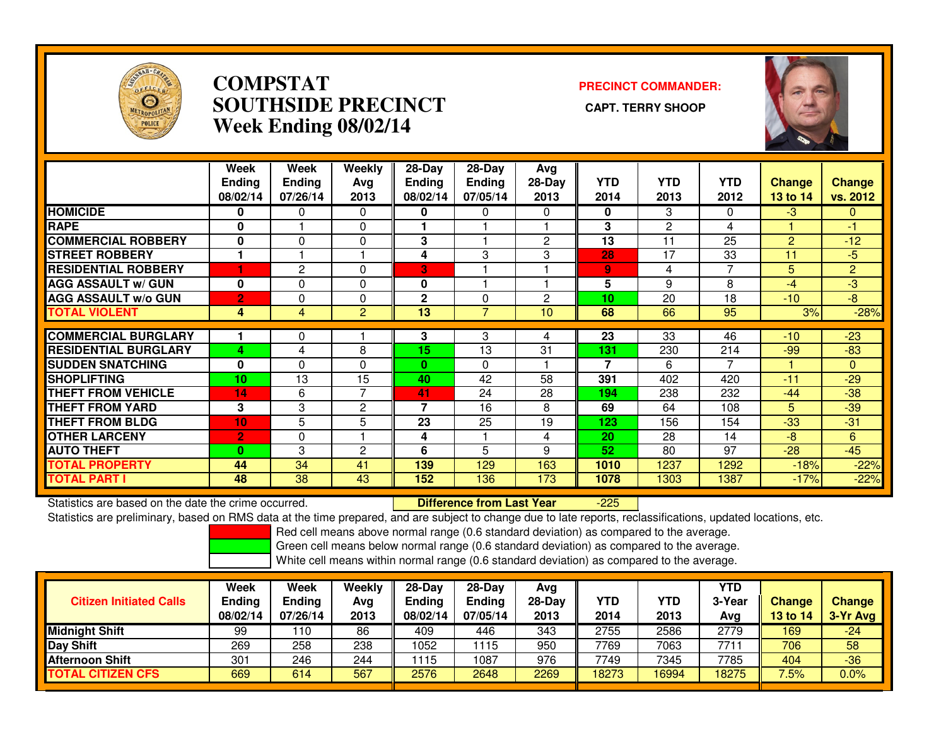

## **COMPSTAT PRECINCT COMMANDER: SOUTHSIDE PRECINCT CAPT. TERRY SHOOPWeek Ending 08/02/14**



|                             | Week<br><b>Ending</b><br>08/02/14 | Week<br><b>Ending</b><br>07/26/14 | Weekly<br>Avg<br>2013 | $28$ -Day<br><b>Ending</b><br>08/02/14 | $28-Day$<br><b>Ending</b><br>07/05/14 | Avg<br>$28-Day$<br>2013 | <b>YTD</b><br>2014 | <b>YTD</b><br>2013 | <b>YTD</b><br>2012 | Change<br>13 to 14 | Change<br>vs. 2012 |
|-----------------------------|-----------------------------------|-----------------------------------|-----------------------|----------------------------------------|---------------------------------------|-------------------------|--------------------|--------------------|--------------------|--------------------|--------------------|
| <b>HOMICIDE</b>             | 0                                 | 0                                 | 0                     | 0                                      | 0                                     | 0                       | 0                  | 3                  | 0                  | $-3$               | 0                  |
| <b>RAPE</b>                 | 0                                 |                                   | 0                     |                                        |                                       |                         | 3                  | 2                  | 4                  |                    | -1                 |
| <b>COMMERCIAL ROBBERY</b>   | 0                                 | $\Omega$                          | $\mathbf 0$           | 3                                      |                                       | $\overline{2}$          | 13                 | 11                 | 25                 | $\overline{2}$     | $-12$              |
| <b>STREET ROBBERY</b>       | 1                                 |                                   |                       | 4                                      | 3                                     | 3                       | 28                 | 17                 | 33                 | 11                 | $-5$               |
| <b>RESIDENTIAL ROBBERY</b>  |                                   | 2                                 | $\Omega$              | 3                                      |                                       |                         | 9                  | 4                  |                    | 5                  | $\overline{2}$     |
| <b>AGG ASSAULT w/ GUN</b>   | 0                                 | $\Omega$                          | $\mathbf{0}$          | 0                                      |                                       |                         | 5                  | 9                  | 8                  | $-4$               | $-3$               |
| <b>AGG ASSAULT w/o GUN</b>  | $\overline{2}$                    | $\Omega$                          | 0                     | $\mathbf{2}$                           | 0                                     | 2                       | 10                 | 20                 | 18                 | $-10$              | $-8$               |
| <b>TOTAL VIOLENT</b>        | 4                                 | 4                                 | 2                     | 13                                     | $\overline{7}$                        | 10                      | 68                 | 66                 | 95                 | 3%                 | $-28%$             |
|                             |                                   |                                   |                       |                                        |                                       |                         |                    |                    |                    |                    |                    |
| <b>COMMERCIAL BURGLARY</b>  |                                   | 0                                 |                       | 3                                      | 3                                     | 4                       | 23                 | 33                 | 46                 | $-10$              | $-23$              |
| <b>RESIDENTIAL BURGLARY</b> | 4                                 | 4                                 | 8                     | 15                                     | 13                                    | 31                      | 131                | 230                | 214                | $-99$              | $-83$              |
| <b>SUDDEN SNATCHING</b>     | 0                                 | $\Omega$                          | $\Omega$              | $\bf{0}$                               | 0                                     |                         | 7                  | 6                  |                    |                    | 0                  |
| <b>SHOPLIFTING</b>          | 10                                | 13                                | 15                    | 40                                     | 42                                    | 58                      | 391                | 402                | 420                | $-11$              | $-29$              |
| <b>THEFT FROM VEHICLE</b>   | 14                                | 6                                 | $\overline{7}$        | 41                                     | 24                                    | 28                      | 194                | 238                | 232                | $-44$              | $-38$              |
| <b>THEFT FROM YARD</b>      | 3                                 | 3                                 | $\mathbf{2}$          | $\overline{\phantom{a}}$               | 16                                    | 8                       | 69                 | 64                 | 108                | 5                  | $-39$              |
| <b>THEFT FROM BLDG</b>      | 10                                | 5                                 | 5                     | 23                                     | 25                                    | 19                      | 123                | 156                | 154                | $-33$              | $-31$              |
| <b>OTHER LARCENY</b>        | $\overline{2}$                    | $\Omega$                          |                       | 4                                      |                                       | 4                       | 20                 | 28                 | 14                 | $-8$               | 6                  |
| <b>AUTO THEFT</b>           | $\Omega$                          | 3                                 | $\overline{c}$        | 6                                      | 5                                     | 9                       | 52                 | 80                 | 97                 | $-28$              | $-45$              |
| <b>TOTAL PROPERTY</b>       | 44                                | 34                                | 41                    | 139                                    | 129                                   | 163                     | 1010               | 1237               | 1292               | $-18%$             | $-22%$             |
| <b>TOTAL PART I</b>         | 48                                | 38                                | 43                    | 152                                    | 136                                   | 173                     | 1078               | 1303               | 1387               | $-17%$             | $-22%$             |

Statistics are based on the date the crime occurred. **Difference from Last Year** 

-225

Statistics are preliminary, based on RMS data at the time prepared, and are subject to change due to late reports, reclassifications, updated locations, etc.

Red cell means above normal range (0.6 standard deviation) as compared to the average.

Green cell means below normal range (0.6 standard deviation) as compared to the average.

|                                | Week     | Week          | Weekly | $28-Day$ | $28$ -Day | Avg    |       |       | <b>YTD</b> |               |               |
|--------------------------------|----------|---------------|--------|----------|-----------|--------|-------|-------|------------|---------------|---------------|
| <b>Citizen Initiated Calls</b> | Ending   | <b>Ending</b> | Avg    | Ending   | Endina    | 28-Day | YTD   | YTD   | 3-Year     | <b>Change</b> | <b>Change</b> |
|                                | 08/02/14 | 07/26/14      | 2013   | 08/02/14 | 07/05/14  | 2013   | 2014  | 2013  | Avg        | 13 to 14      | 3-Yr Avg      |
| <b>Midnight Shift</b>          | 99       | l 10          | 86     | 409      | 446       | 343    | 2755  | 2586  | 2779       | 169           | $-24$         |
| Day Shift                      | 269      | 258           | 238    | 1052     | 115       | 950    | 7769  | 7063  | 7711       | 706           | 58            |
| <b>Afternoon Shift</b>         | 301      | 246           | 244    | 1115     | 1087      | 976    | 7749  | 7345  | 7785       | 404           | $-36$         |
| <b>TOTAL CITIZEN CFS</b>       | 669      | 614           | 567    | 2576     | 2648      | 2269   | 18273 | 16994 | 18275      | 7.5%          | $0.0\%$       |
|                                |          |               |        |          |           |        |       |       |            |               |               |